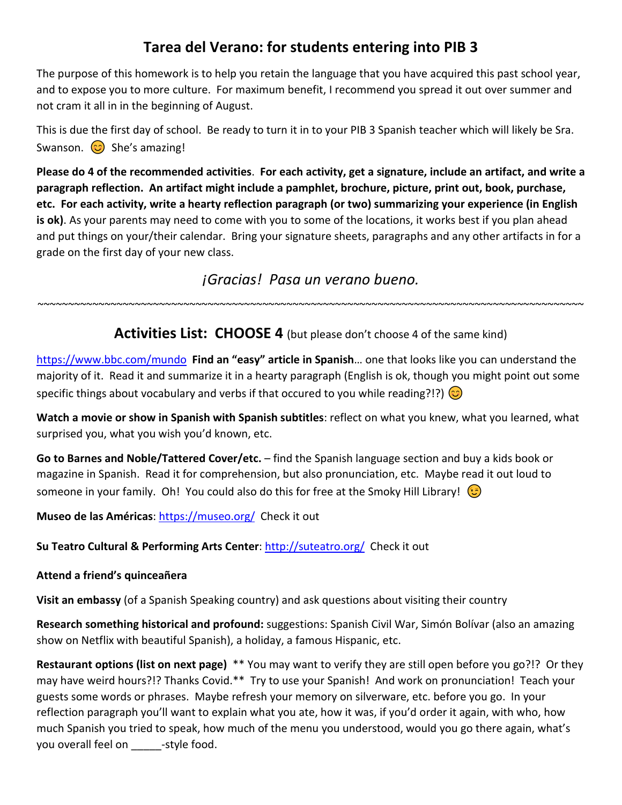## **Tarea del Verano: for students entering into PIB 3**

The purpose of this homework is to help you retain the language that you have acquired this past school year, and to expose you to more culture. For maximum benefit, I recommend you spread it out over summer and not cram it all in in the beginning of August.

This is due the first day of school. Be ready to turn it in to your PIB 3 Spanish teacher which will likely be Sra. Swanson.  $\circled{c}$  She's amazing!

**Please do 4 of the recommended activities**. **For each activity, get a signature, include an artifact, and write a paragraph reflection. An artifact might include a pamphlet, brochure, picture, print out, book, purchase, etc. For each activity, write a hearty reflection paragraph (or two) summarizing your experience (in English is ok)**. As your parents may need to come with you to some of the locations, it works best if you plan ahead and put things on your/their calendar. Bring your signature sheets, paragraphs and any other artifacts in for a grade on the first day of your new class.

*¡Gracias! Pasa un verano bueno.*

**Activities List: CHOOSE 4** (but please don't choose 4 of the same kind)

~~~~~~~~~~~~~~~~~~~~~~~~~~~~~~~~~~~~~~~~~~~~~~~~~~~~~~~~~~~~~~~~~~~~~~~~~~~~~~~~~~~~~~~~~~

<https://www.bbc.com/mundo>**Find an "easy" article in Spanish**… one that looks like you can understand the majority of it. Read it and summarize it in a hearty paragraph (English is ok, though you might point out some specific things about vocabulary and verbs if that occured to you while reading?!?)  $\odot$ 

**Watch a movie or show in Spanish with Spanish subtitles**: reflect on what you knew, what you learned, what surprised you, what you wish you'd known, etc.

**Go to Barnes and Noble/Tattered Cover/etc.** – find the Spanish language section and buy a kids book or magazine in Spanish. Read it for comprehension, but also pronunciation, etc. Maybe read it out loud to someone in your family. Oh! You could also do this for free at the Smoky Hill Library!

**Museo de las Américas**:<https://museo.org/>Check it out

Su Teatro Cultural & Performing Arts Center:<http://suteatro.org/>Check it out

## **Attend a friend's quinceañera**

**Visit an embassy** (of a Spanish Speaking country) and ask questions about visiting their country

**Research something historical and profound:** suggestions: Spanish Civil War, Simón Bolívar (also an amazing show on Netflix with beautiful Spanish), a holiday, a famous Hispanic, etc.

**Restaurant options (list on next page)** \*\* You may want to verify they are still open before you go?!? Or they may have weird hours?!? Thanks Covid.\*\* Try to use your Spanish! And work on pronunciation! Teach your guests some words or phrases. Maybe refresh your memory on silverware, etc. before you go. In your reflection paragraph you'll want to explain what you ate, how it was, if you'd order it again, with who, how much Spanish you tried to speak, how much of the menu you understood, would you go there again, what's you overall feel on -style food.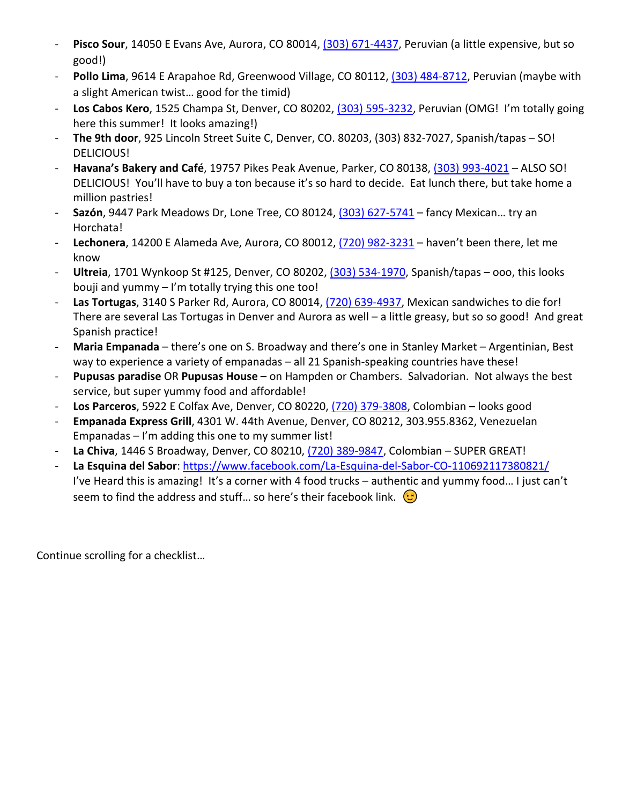- Pisco Sour, 14050 E Evans Ave, Aurora, CO 80014, [\(303\) 671-4437,](https://www.google.com/search?q=pisco+sour+restaurant&ei=q6uHYrjXMua-0PEPsZSkyAs&gs_ssp=eJzj4tFP1zcsqCg0tcjOTjFgtFI1qLAwN0u2ME20SE4zSU2xMEizMqiwtDBOTEsxtLAwSk4xTTEx8BItyCxOzlcozi8tUihKLS5JLC1KzCsBAGEHF_4&oq=pisco+sour+resta&gs_lcp=Cgdnd3Mtd2l6EAMYADILCC4QgAQQxwEQrwEyBQgAEIAEMgsILhCABBDHARCvATILCC4QgAQQxwEQrwEyBQgAEIYDOgcIABBHELADOgcIABCwAxBDOgoIABDkAhCwAxgBOhUILhDHARCvARDUAhDIAxCwAxBDGAI6DAguEMgDELADEEMYAjoPCC4Q1AIQyAMQsAMQQxgCOggIABCABBCxAzoFCC4QgARKBAhBGABKBAhGGAFQ1QVY0w9g6x9oAXABeACAAWeIAZ8EkgEDNS4xmAEAoAEByAERwAEB2gEGCAEQARgJ2gEGCAIQARgI&sclient=gws-wiz) Peruvian (a little expensive, but so good!)
- Pollo Lima, 9614 E Arapahoe Rd, Greenwood Village, CO 80112, [\(303\) 484-8712,](https://www.google.com/search?q=pollo+lima&source=hp&ei=ia2HYsyLHP-u0PEPiv2PwAY&iflsig=AJiK0e8AAAAAYoe7maETwgdWeRscWoMhqeR_Ndk9od8E&gs_ssp=eJzj4tVP1zc0TCpPLzc2KzE1YLRSNaiwMDdLtjAzNzdMSjZIs0xMsjKoME42sjBMM7AwNzZOMjVMMfHiKsjPyclXyMnMTQQAX4USxw&oq=pollo+lima&gs_lcp=Cgdnd3Mtd2l6EAEYADILCC4QgAQQxwEQrwEyBQgAEIAEMgYIABAeEBYyBggAEB4QFjIGCAAQHhAWMgYIABAeEBYyBggAEB4QFjIGCAAQHhAWMgYIABAeEBYyBggAEB4QFjoLCC4QsQMQgwEQ1AI6CwguEIAEELEDEIMBOggIABCABBCxAzoLCAAQgAQQsQMQgwE6DgguEIAEELEDEMcBEKMCOggILhCABBDUAjoOCC4QgAQQsQMQxwEQ0QM6BQguEIAEOgsILhCABBCxAxDUAjoOCAAQgAQQsQMQgwEQyQM6BQgAEJIDOggILhCABBCxAzoICAAQsQMQgwE6FAguEIAEELEDEIMBEMcBENEDENQCOgsILhCABBDHARCjAjoRCC4QgAQQsQMQxwEQowIQ1AI6BQgAELEDOgsILhCxAxDHARDRAzoRCC4QgAQQsQMQgwEQxwEQowI6CwgAEIAEELEDEMkDOgsILhCSAxDHARCvAToICAAQgAQQyQM6BwgAEIAEEApQAFivHGCjN2gCcAB4AIABcIgB5weSAQQxMC4ymAEAoAEB&sclient=gws-wiz) Peruvian (maybe with a slight American twist… good for the timid)
- **Los Cabos Kero**, 1525 Champa St, Denver, CO 80202, [\(303\) 595-3232,](https://www.google.com/search?q=los+cabos+kero&source=hp&ei=N66HYvG6EsCx0PEP2_SloAc&iflsig=AJiK0e8AAAAAYoe8R6hEQlrsYiac4kLCKRcJvnmnPLZZ&gs_ssp=eJzj4tZP1zcsSS7PNTQtMWC0UjGosDA3Sza3SDEwM0s1SU21NLUyqDA3NjAwt0xNNTNJMk9KM_Diy8kvVkhOTAKS2alF-QB8hBOg&oq=los+cabos+kero&gs_lcp=Cgdnd3Mtd2l6EAEYADILCC4QgAQQxwEQrwEyAggmMgUIABCGAzIFCAAQhgMyBQgAEIYDMgUIABCGAzoLCC4QgAQQxwEQowI6BQgAEIAEOhEILhCABBCxAxCDARDHARCjAjoOCC4QgAQQsQMQxwEQ0QM6CwguEIAEEMcBENEDOg4ILhCxAxCDARDHARCjAjoICC4QsQMQgwE6CwguEIAEELEDEIMBOggILhCABBDUAjoRCC4QgAQQsQMQgwEQxwEQ0QM6CAgAELEDEIMBOggILhCABBCxAzoICAAQgAQQsQM6CwgAEIAEELEDEIMBOgUILhCABDoLCAAQgAQQsQMQyQM6BQgAEJIDOhQILhCABBCxAxCDARDHARCjAhDUAjoOCC4QgAQQsQMQxwEQowI6CwguEIAEELEDENQCOg4ILhCABBCxAxDHARCvAToKCAAQsQMQgwEQCjoFCAAQsQM6DgguEIAEEMcBEK8BENQCOgcIABCABBAKOgcIABCxAxAKOgoILhDHARCvARAKOg0ILhDHARCjAhDJAxAKOgQIABAKOgsILhCxAxCDARDUAjoOCC4QgAQQsQMQgwEQ1AI6DgguELEDEIMBEMcBEK8BOggIABCABBDJAzoGCAAQHhAWUABY5cYBYKbaAWgMcAB4AIABngGIAbQQkgEEMTUuN5gBAKABAbABAA&sclient=gws-wiz) Peruvian (OMG! I'm totally going here this summer! It looks amazing!)
- **The 9th door**, 925 Lincoln Street Suite C, Denver, CO. 80203, (303) 832-7027, Spanish/tapas SO! DELICIOUS!
- **Havana's Bakery and Café**, 19757 Pikes Peak Avenue, Parker, CO 80138[, \(303\) 993-4021](https://www.google.com/search?q=havana+bakery&source=hp&ei=qa-HYurULY6LtQaw1YagBw&iflsig=AJiK0e8AAAAAYoe9uXxdOejxRy_WTvGtYq2-U5UEtxlZ&gs_ssp=eJzj4tVP1zc0zEsvLi-qKCwzYLRSNaiwMDdLtjQ0MEw0TDJLNLU0tzKoMDe1MLa0NEwxN0syMbVMS_XizUgsS8xLVEhKzE4tqgQAt_cUag&oq=havana+bakery&gs_lcp=Cgdnd3Mtd2l6EAEYADILCC4QgAQQxwEQrwEyBQgAEIAEMgUIABCABDIICAAQgAQQyQMyBQgAEIAEMgUIABCABDILCC4QgAQQxwEQrwEyBQgAEIAEMgsILhCABBDHARCvATILCC4QgAQQxwEQrwE6EQguEIAEELEDEIMBEMcBEKMCOgsIABCABBCxAxCDAToICAAQgAQQsQM6CwguELEDEIMBENQCOggIABCxAxCDAToOCC4QgAQQsQMQxwEQowI6CwguEIAEEMcBEKMCOg4ILhCABBCxAxCDARDUAjoLCC4QgAQQsQMQgwE6CAguEIAEELEDOggILhCxAxCDAToOCC4QgAQQsQMQxwEQ0QM6CwguEIAEELEDENQCOgUILhCABDoFCAAQsQM6EQguEIAEELEDEIMBEMcBEK8BUABYkBNg2y1oAHAAeACAAZMBiAHXCpIBAzUuOJgBAKABAQ&sclient=gws-wiz) ALSO SO! DELICIOUS! You'll have to buy a ton because it's so hard to decide. Eat lunch there, but take home a million pastries!
- **Sazón**, 9447 Park Meadows Dr, Lone Tree, CO 80124, [\(303\) 627-5741](https://www.google.com/search?q=sazon&source=hp&ei=vrCHYu2LIdrAtQbZ-oeQDw&iflsig=AJiK0e8AAAAAYoe-ziDtIfxK4dNzEKuYgnRuPnmV8ljL&ved=2ahUKEwj0wtHGr-73AhV-ITQIHclnAbIQvS56BAgCEAE&uact=5&oq=sazon&gs_lcp=Cgdnd3Mtd2l6EAMyCAgAEIAEELEDMgsILhCABBDHARCvATIICAAQgAQQsQMyEQguEIAEELEDEIMBEMcBEK8BMggIABCABBCxAzIFCAAQgAQyBQgAEIAEMgUIABCxAzIFCAAQgAQyBQgAEIAEOggILhCxAxCDAToRCC4QgAQQsQMQgwEQxwEQ0QM6CwgAEIAEELEDEIMBOg4ILhCABBCxAxDHARDRAzoFCC4QgAQ6CwguEIAEEMcBEKMCOhEILhCABBCxAxCDARDHARCjAjoLCC4QgAQQsQMQgwE6DgguEIAEELEDEMcBEKMCOggILhCABBCxA1AAWPoEYLYLaABwAHgAgAGOAYgB8QOSAQM0LjGYAQCgAQE&sclient=gws-wiz&tbs=lf:1,lf_ui:9&tbm=lcl&rflfq=1&num=10&rldimm=17464093238521402444&lqi=CgVzYXpvbkiIlZ-sqbWAgAhaCxAAGAAiBXNhem9ukgESbWV4aWNhbl9yZXN0YXVyYW50qgENEAEqCSIFc2F6b24oAA&phdesc=JMbwXLr37WM&sa=X&rlst=f) fancy Mexican… try an Horchata!
- **Lechonera**, 14200 E Alameda Ave, Aurora, CO 80012, [\(720\) 982-3231](https://www.google.com/search?q=lechonera+la+familia&source=hp&ei=lbGHYqyvN9CH9PwP9I-XuA0&iflsig=AJiK0e8AAAAAYoe_pRaDaxXxL0ILrIi0k7hUbYqldy8F&gs_ssp=eJzj4tVP1zc0zKswKynMLs8yYLRSNaiwMDdLNjM2TDJMNkhNM7K0tDKoMEtLNE5MTksxS7Y0NDBOTPISyUlNzsjPSy1KVMhJVEhLzM3MyUwEAGYIF7M&oq=lechonera&gs_lcp=Cgdnd3Mtd2l6EAEYADILCC4QgAQQxwEQrwEyCAgAEIAEELEDMgsILhCABBDHARCvATILCC4QgAQQxwEQrwEyBQgAEIAEMggIABCABBDJAzIFCAAQgAQyCwguEIAEEMcBEK8BMgsILhCABBDHARCvATILCC4QgAQQxwEQrwE6EQguEIAEELEDEIMBEMcBEKMCOhEILhCABBCxAxCDARDHARDRAzoUCC4QgAQQsQMQgwEQxwEQowIQ1AI6CwguEIAEELEDEIMBOggILhCABBCxAzoOCC4QgAQQsQMQxwEQowI6CwguEIAEEMcBEKMCOg4ILhCABBCxAxDHARDRAzoICAAQsQMQgwE6CwguEIAEELEDENQCOg4ILhCABBCxAxDHARCvAToRCC4QgAQQsQMQgwEQxwEQrwE6DggAEIAEELEDEIMBEMkDOgUIABCSAzoHCAAQgAQQClAAWOkHYM4XaABwAHgAgAF9iAHaBpIBAzYuM5gBAKABAQ&sclient=gws-wiz) haven't been there, let me know
- **Ultreia**, 1701 Wynkoop St #125, Denver, CO 80202[, \(303\) 534-1970,](https://www.google.com/search?q=ultreia+denver&source=hp&ei=hbKHYt3bA5WDtQaUh7S4DA&iflsig=AJiK0e8AAAAAYofAlRgEUMK1ktQb5FFE19dREYHXz3Jk&gs_ssp=eJzj4tVP1zc0TE8pSiswzCkzYLRSNaiwMDdLNrdINjZINDQ3sDBOsTKoMEuyMDIzMzQzS05JMrRMtfTiK80pKUrNTFRISc0rSy0CALsHFLI&oq=ultreia&gs_lcp=Cgdnd3Mtd2l6EAEYADILCC4QgAQQxwEQrwEyBQgAEIAEMgUIABCABDIFCAAQgAQyBQgAEIAEMgUIABCABDIFCAAQgAQyBQgAEIAEMgUIABCABDIFCAAQgAQ6CwgAEIAEELEDEIMBOg4ILhCABBCxAxDHARDRAzoICC4QgAQQsQM6CAgAEIAEELEDOhEILhCABBCxAxCDARDHARCjAjoRCC4QgAQQsQMQgwEQxwEQ0QM6DgguEIAEELEDEMcBEKMCOgsILhCABBCxAxCDAToLCAAQgAQQsQMQyQM6BQgAEJIDOgsILhCSAxDHARCvAToICAAQsQMQgwE6DgguEIAEELEDEIMBENQCUABYkQhgxxdoAHAAeACAAViIAbYEkgEBN5gBAKABAQ&sclient=gws-wiz) Spanish/tapas ooo, this looks bouji and yummy – I'm totally trying this one too!
- **Las Tortugas**, 3140 S Parker Rd, Aurora, CO 80014, [\(720\) 639-4937,](https://www.google.com/search?client=firefox-b-1-d&q=las%20tortugas&tbs=lrf:!1m4!1u3!2m2!3m1!1e1!2m1!1e3!3sIAE,lf:1,lf_ui:4&tbm=lcl&rflfq=1&num=10&rldimm=14179567154274300106&lqi=CgxsYXMgdG9ydHVnYXMiA4gBAUjD_q279qyAgAhaGhAAEAEYABgBIgxsYXMgdG9ydHVnYXMyAmVzkgESbWV4aWNhbl9yZXN0YXVyYW50qgEUEAEqECIMbGFzIHRvcnR1Z2FzKA4&ved=2ahUKEwjCrbTise73AhW7CTQIHd2KAm0QvS56BAgDEAE&sa=X&rlst=f) Mexican sandwiches to die for! There are several Las Tortugas in Denver and Aurora as well – a little greasy, but so so good! And great Spanish practice!
- Maria Empanada there's one on S. Broadway and there's one in Stanley Market Argentinian, Best way to experience a variety of empanadas – all 21 Spanish-speaking countries have these!
- **Pupusas paradise** OR **Pupusas House** on Hampden or Chambers. Salvadorian. Not always the best service, but super yummy food and affordable!
- **Los Parceros**, 5922 E Colfax Ave, Denver, CO 80220, [\(720\) 379-3808,](https://www.google.com/search?q=los+parceros&source=hp&ei=7rSHYoSeJdOL0PEP8OiEiAE&iflsig=AJiK0e8AAAAAYofC_sFHp8gvnMiRi-_rKW_6xmdT4FfU&gs_ssp=eJzj4tFP1zcsNMtKKjdMKTZgtFI1qLAwN0s2TzZINjU0TTQwTTK3MqgwtbA0A2JjAwtTw7SkJEsvnpz8YoWCxKLk1KL8YgB02xNR&oq=los+parcero&gs_lcp=Cgdnd3Mtd2l6EAEYADILCC4QgAQQxwEQrwEyBQgAEIAEMgsILhCABBDHARCvATIFCAAQgAQyBQgAEIAEMgsILhCABBDHARCvATIFCAAQgAQyCwguEIAEEMcBEK8BMgsILhCABBDHARCvATILCC4QgAQQxwEQrwE6EQguEIAEELEDEIMBEMcBEKMCOhEILhCABBCxAxCDARDHARDRAzoUCC4QgAQQsQMQgwEQxwEQowIQ1AI6CwguEIAEELEDEIMBOggILhCABBCxAzoOCC4QgAQQsQMQxwEQowI6CwguEIAEEMcBEKMCOg4ILhCABBCxAxDHARDRAzoICAAQsQMQgwE6CAguELEDEIMBOgUILhCABDoLCAAQgAQQsQMQgwE6CAgAEIAEELEDOgsILhCABBCxAxDUAjoLCC4QsQMQgwEQ1AI6DgguEIAEELEDEIMBENQCOhEILhCABBCxAxCDARDHARCvAToOCC4QsQMQgwEQxwEQrwE6BwgAEIAEEApQAFjhCmDpF2gAcAB4AIABaIgB2QeSAQM5LjKYAQCgAQE&sclient=gws-wiz) Colombian looks good
- **Empanada Express Grill**, 4301 W. 44th Avenue, Denver, CO 80212, 303.955.8362, Venezuelan Empanadas – I'm adding this one to my summer list!
- La Chiva, 1446 S Broadway, Denver, CO 80210[, \(720\) 389-9847,](https://www.google.com/search?q=la+chiva&source=hp&ei=4LWHYsGaDsCy0PEP47-G0AM&iflsig=AJiK0e8AAAAAYofD8DMH4vmHdGGNcGAWYu5UUA-2AwLq&gs_ssp=eJzj4tVP1zc0TEkrrjAuNjU3YLRSNaiwMDdLNk9LTE41NTNNSzROszKoMLW0TEw1M0lOtDSwNLQwSPTiyElUSM7ILEsEAE0SEm8&oq=la+chiva&gs_lcp=Cgdnd3Mtd2l6EAEYADIOCC4QgAQQsQMQxwEQrwEyCwguEIAEEMcBEK8BMgUIABCABDIFCAAQgAQyBQgAEIAEMgUIABCABDIFCC4QgAQyBQgAEIAEMgUIABCABDIFCC4QgAQ6EQguEIAEELEDEIMBEMcBEKMCOhEILhCABBCxAxCDARDHARDRAzoUCC4QgAQQsQMQgwEQxwEQowIQ1AI6CwguEIAEELEDEIMBOggILhCABBCxAzoOCC4QgAQQsQMQxwEQowI6CwguEIAEEMcBEKMCOg4ILhCABBCxAxDHARDRAzoICAAQsQMQgwE6DgguELEDEIMBEMcBEK8BOggIABCABBCxAzoICC4QgAQQ1AI6CwguELEDEIMBENQCOggILhCxAxCDAVAAWJYJYKsbaABwAHgAgAF9iAHqBZIBAzUuM5gBAKABAQ&sclient=gws-wiz) Colombian SUPER GREAT!
- **La Esquina del Sabor**:<https://www.facebook.com/La-Esquina-del-Sabor-CO-110692117380821/> I've Heard this is amazing! It's a corner with 4 food trucks - authentic and yummy food... I just can't seem to find the address and stuff... so here's their facebook link.  $\odot$

Continue scrolling for a checklist…